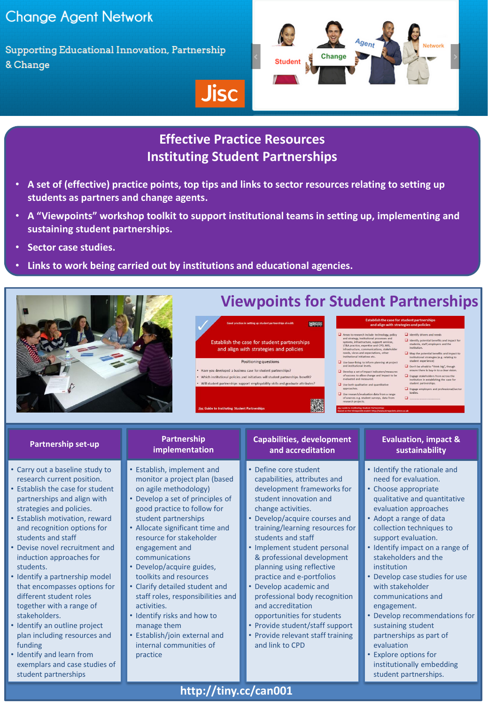## **Change Agent Network**

Supporting Educational Innovation, Partnership & Change



# **Effective Practice Resources Instituting Student Partnerships**

• **A set of (effective) practice points, top tips and links to sector resources relating to setting up students as partners and change agents.**

**Jisc** 

• **A "Viewpoints" workshop toolkit to support institutional teams in setting up, implementing and sustaining student partnerships.**

and align with strategies and policies

Positioning questions

Will student partnerships support employability skills and graduate attributes?

• Have you developed a business case for student partnerships?

- **Sector case studies.**
- **Links to work being carried out by institutions and educational agencies.**



# **Viewpoints for Student Partnerships**

 $\fbox{\parbox{1.5cm} \centering \begin{tabular}{p{0.8cm}} \textbf{1} \textbf{ } A eess to research include technology, pod strategies, institutional processes and systems, infrastructure, support ser/168, and 178, A practice, expertise and CD, M85, infants, needs, we  
need, we need to generate the performance. It is the best to the rest of the individual initiatives set. \end{tabular}}$ Establish the case for student partnerships  $\hfill\Box$  Use base-lining to inform planning at project and institutional levels.  $\begin{tabular}{|c|c|} \hline \textbf{I} \textbf{ \textbf{D}} \textbf{e} \textbf{v} \textbf{e} \textbf{b} \textbf{b} \textbf{b} \textbf{b} \textbf{c} \textbf{b} \textbf{c} \textbf{b} \textbf{c} \textbf{b} \textbf{c} \textbf{c} \textbf{c} \textbf{b} \textbf{c} \textbf{c} \textbf{b} \textbf{c} \textbf{c} \textbf{c} \textbf{c} \textbf{c} \textbf{b} \textbf{c} \textbf{c} \textbf{c} \textbf{c} \textbf{b} \text$ Which institutional policies and initiatives will student partnerships benefit?

## $\Box$  Use both qualitative and qua

# approaches.<br>
Use research/evaluation data from a range<br>
of sources e.g. student surveys, data from<br>
research projects.

# $\Box$  Identify potential benefits and impact for<br>students, staff, employers and the

- Map the potential benefits and impact to<br>institutional strategies (e.g. relating to<br>student experience)
- $\Box$  Don't be afraid to "think big", though<br>ensure there is buy-in to a clear vision.
- $\Box$  Engage stakeholders from across the institution in establishing the case for<br>student nartnershine
- $\Box$  Engage employers and professional profession  $\Box$

## **Partnership set-up**

- Carry out a baseline study to research current position.
- Establish the case for student partnerships and align with strategies and policies.
- Establish motivation, reward and recognition options for students and staff
- Devise novel recruitment and induction approaches for students.
- Identify a partnership model that encompasses options for different student roles together with a range of stakeholders.
- Identify an outline project plan including resources and funding
- Identify and learn from exemplars and case studies of student partnerships

### **Partnership implementation**

- Establish, implement and monitor a project plan (based on agile methodology)
- Develop a set of principles of good practice to follow for student partnerships
- Allocate significant time and resource for stakeholder engagement and communications
- Develop/acquire guides, toolkits and resources
- Clarify detailed student and staff roles, responsibilities and activities.
- Identify risks and how to manage them
- Establish/join external and internal communities of practice

## **Capabilities, development and accreditation**

**日本社** 

- Define core student capabilities, attributes and development frameworks for student innovation and change activities.
- Develop/acquire courses and training/learning resources for students and staff
- Implement student personal & professional development planning using reflective practice and e-portfolios
- Develop academic and
- professional body recognition and accreditation
- opportunities for students • Provide student/staff support
- Provide relevant staff training and link to CPD

## **Evaluation, impact & sustainability**

- Identify the rationale and need for evaluation.
- Choose appropriate qualitative and quantitative evaluation approaches
- Adopt a range of data collection techniques to support evaluation.
- Identify impact on a range of stakeholders and the institution
- Develop case studies for use with stakeholder communications and engagement.
- Develop recommendations for sustaining student partnerships as part of evaluation
- Explore options for institutionally embedding student partnerships.